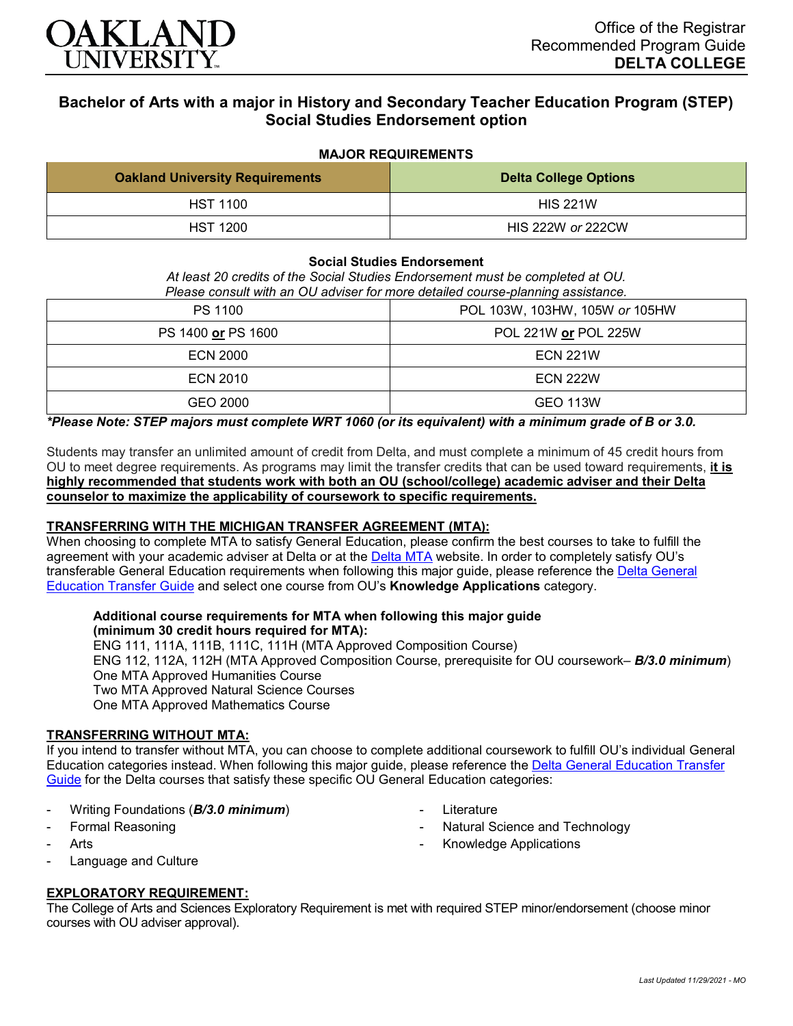

# **Bachelor of Arts with a major in History and Secondary Teacher Education Program (STEP) Social Studies Endorsement option**

## **MAJOR REQUIREMENTS**

| <b>Oakland University Requirements</b> | <b>Delta College Options</b> |
|----------------------------------------|------------------------------|
| <b>HST 1100</b>                        | <b>HIS 221W</b>              |
| <b>HST 1200</b>                        | HIS 222W or 222CW            |

## **Social Studies Endorsement**

*At least 20 credits of the Social Studies Endorsement must be completed at OU. Please consult with an OU adviser for more detailed course-planning assistance.*

| <b>PS 1100</b>     | POL 103W, 103HW, 105W or 105HW |
|--------------------|--------------------------------|
| PS 1400 or PS 1600 | POL 221W or POL 225W           |
| <b>ECN 2000</b>    | <b>ECN 221W</b>                |
| ECN 2010           | <b>ECN 222W</b>                |
| GEO 2000           | <b>GEO 113W</b>                |

## *\*Please Note: STEP majors must complete WRT 1060 (or its equivalent) with a minimum grade of B or 3.0.*

Students may transfer an unlimited amount of credit from Delta, and must complete a minimum of 45 credit hours from OU to meet degree requirements. As programs may limit the transfer credits that can be used toward requirements, **it is highly recommended that students work with both an OU (school/college) academic adviser and their Delta counselor to maximize the applicability of coursework to specific requirements.**

## **TRANSFERRING WITH THE MICHIGAN TRANSFER AGREEMENT (MTA):**

When choosing to complete MTA to satisfy General Education, please confirm the best courses to take to fulfill the agreement with your academic adviser at Delta or at the **[Delta MTA](http://catalog.delta.edu/content.php?catoid=10&navoid=1320&hl=MTA&returnto=search)** website. In order to completely satisfy OU's transferable General Education requirements when following this major guide, please reference the Delta General [Education Transfer Guide](https://www.oakland.edu/Assets/Oakland/program-guides/delta-college/university-general-education-requirements/Delta%20Gen%20Ed.pdf) and select one course from OU's **Knowledge Applications** category.

# **Additional course requirements for MTA when following this major guide**

**(minimum 30 credit hours required for MTA):** ENG 111, 111A, 111B, 111C, 111H (MTA Approved Composition Course) ENG 112, 112A, 112H (MTA Approved Composition Course, prerequisite for OU coursework– *B/3.0 minimum*) One MTA Approved Humanities Course Two MTA Approved Natural Science Courses One MTA Approved Mathematics Course

**Literature** 

Natural Science and Technology

- Knowledge Applications

## **TRANSFERRING WITHOUT MTA:**

If you intend to transfer without MTA, you can choose to complete additional coursework to fulfill OU's individual General Education categories instead. When following this major guide, please reference the [Delta General Education Transfer](https://www.oakland.edu/Assets/Oakland/program-guides/delta-college/university-general-education-requirements/Delta%20Gen%20Ed.pdf)  [Guide](https://www.oakland.edu/Assets/Oakland/program-guides/delta-college/university-general-education-requirements/Delta%20Gen%20Ed.pdf) for the Delta courses that satisfy these specific OU General Education categories:

- Writing Foundations (*B/3.0 minimum*)
- Formal Reasoning
- **Arts**
- Language and Culture

## **EXPLORATORY REQUIREMENT:**

The College of Arts and Sciences Exploratory Requirement is met with required STEP minor/endorsement (choose minor courses with OU adviser approval).